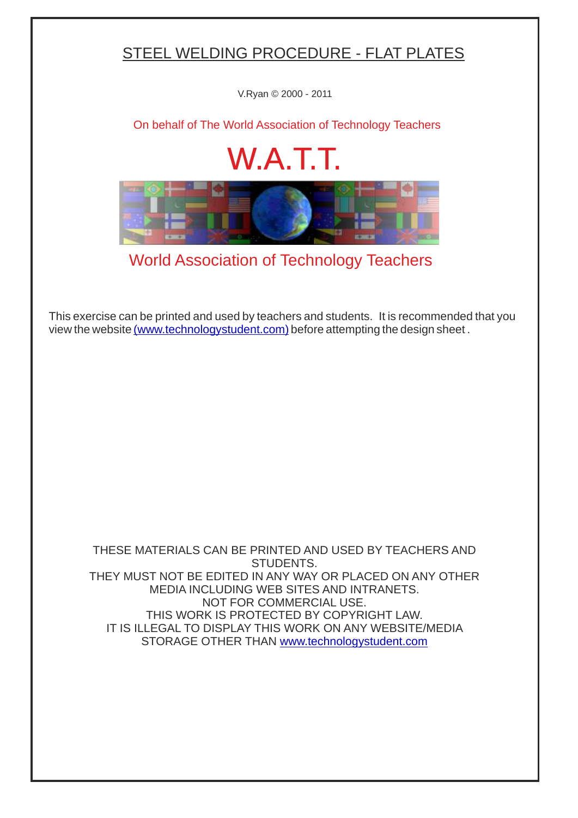## STEEL WELDING PROCEDURE - FLAT PLATES

V.Ryan © 2000 - 2011

[On behalf of The World Association of Technology Teachers](http://www.technologystudent.com/designpro/drawdex.htm)

## W.A.T.T.



[World Association of Technology Teachers](http://www.technologystudent.com/designpro/drawdex.htm)

[This exercise can be printed and used by teachers and students. It is recommended that you](http://www.technologystudent.com/designpro/drawdex.htm) view the website [\(www.technologystudent.com\)](http://www.technologystudent.com/designpro/drawdex.htm) before attempting the design sheet .

THESE MATERIALS CAN BE PRINTED AND USED BY TEACHERS AND STUDENTS. THEY MUST NOT BE EDITED IN ANY WAY OR PLACED ON ANY OTHER MEDIA INCLUDING WEB SITES AND INTRANETS. NOT FOR COMMERCIAL USE. THIS WORK IS PROTECTED BY COPYRIGHT LAW. IT IS ILLEGAL TO DISPLAY THIS WORK ON ANY WEBSITE/MEDIA STORAGE OTHER THAN [www.technologystudent.com](http://www.technologystudent.com/designpro/drawdex.htm)